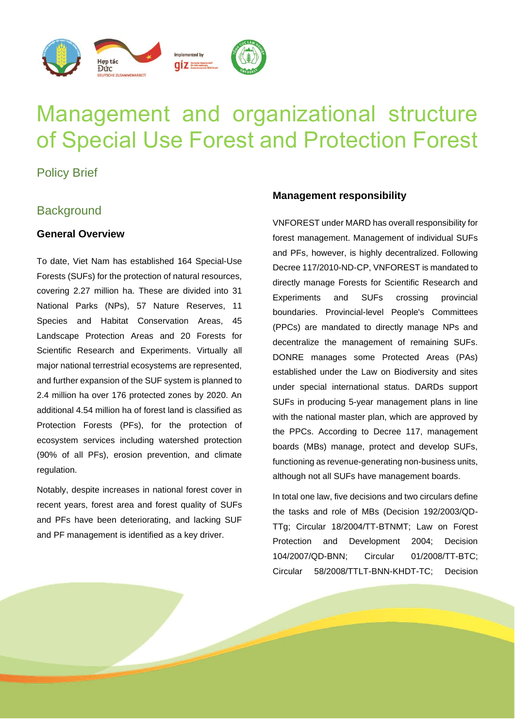

# Management and organizational structure of Special Use Forest and Protection Forest

# Policy Brief

# **Background**

### **General Overview**

To date, Viet Nam has established 164 Special-Use Forests (SUFs) for the protection of natural resources, covering 2.27 million ha. These are divided into 31 National Parks (NPs), 57 Nature Reserves, 11 Species and Habitat Conservation Areas, 45 Landscape Protection Areas and 20 Forests for Scientific Research and Experiments. Virtually all major national terrestrial ecosystems are represented, and further expansion of the SUF system is planned to 2.4 million ha over 176 protected zones by 2020. An additional 4.54 million ha of forest land is classified as Protection Forests (PFs), for the protection of ecosystem services including watershed protection (90% of all PFs), erosion prevention, and climate regulation.

Notably, despite increases in national forest cover in recent years, forest area and forest quality of SUFs and PFs have been deteriorating, and lacking SUF and PF management is identified as a key driver.

### **Management responsibility**

VNFOREST under MARD has overall responsibility for forest management. Management of individual SUFs and PFs, however, is highly decentralized. Following Decree 117/2010-ND-CP, VNFOREST is mandated to directly manage Forests for Scientific Research and Experiments and SUFs crossing provincial boundaries. Provincial-level People's Committees (PPCs) are mandated to directly manage NPs and decentralize the management of remaining SUFs. DONRE manages some Protected Areas (PAs) established under the Law on Biodiversity and sites under special international status. DARDs support SUFs in producing 5-year management plans in line with the national master plan, which are approved by the PPCs. According to Decree 117, management boards (MBs) manage, protect and develop SUFs, functioning as revenue-generating non-business units, although not all SUFs have management boards.

In total one law, five decisions and two circulars define the tasks and role of MBs (Decision 192/2003/QD-TTg; Circular 18/2004/TT-BTNMT; Law on Forest Protection and Development 2004; Decision 104/2007/QD-BNN; Circular 01/2008/TT-BTC; Circular 58/2008/TTLT-BNN-KHDT-TC; Decision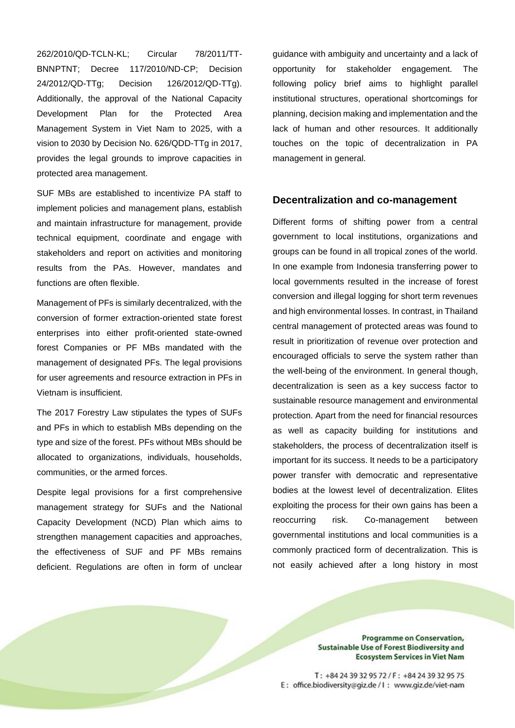262/2010/QD-TCLN-KL; Circular 78/2011/TT-BNNPTNT; Decree 117/2010/ND-CP; Decision 24/2012/QD-TTg; Decision 126/2012/QD-TTg). Additionally, the approval of the National Capacity Development Plan for the Protected Area Management System in Viet Nam to 2025, with a vision to 2030 by Decision No. 626/QDD-TTg in 2017, provides the legal grounds to improve capacities in protected area management.

SUF MBs are established to incentivize PA staff to implement policies and management plans, establish and maintain infrastructure for management, provide technical equipment, coordinate and engage with stakeholders and report on activities and monitoring results from the PAs. However, mandates and functions are often flexible.

Management of PFs is similarly decentralized, with the conversion of former extraction-oriented state forest enterprises into either profit-oriented state-owned forest Companies or PF MBs mandated with the management of designated PFs. The legal provisions for user agreements and resource extraction in PFs in Vietnam is insufficient.

The 2017 Forestry Law stipulates the types of SUFs and PFs in which to establish MBs depending on the type and size of the forest. PFs without MBs should be allocated to organizations, individuals, households, communities, or the armed forces.

Despite legal provisions for a first comprehensive management strategy for SUFs and the National Capacity Development (NCD) Plan which aims to strengthen management capacities and approaches, the effectiveness of SUF and PF MBs remains deficient. Regulations are often in form of unclear guidance with ambiguity and uncertainty and a lack of opportunity for stakeholder engagement. The following policy brief aims to highlight parallel institutional structures, operational shortcomings for planning, decision making and implementation and the lack of human and other resources. It additionally touches on the topic of decentralization in PA management in general.

#### **Decentralization and co-management**

Different forms of shifting power from a central government to local institutions, organizations and groups can be found in all tropical zones of the world. In one example from Indonesia transferring power to local governments resulted in the increase of forest conversion and illegal logging for short term revenues and high environmental losses. In contrast, in Thailand central management of protected areas was found to result in prioritization of revenue over protection and encouraged officials to serve the system rather than the well-being of the environment. In general though, decentralization is seen as a key success factor to sustainable resource management and environmental protection. Apart from the need for financial resources as well as capacity building for institutions and stakeholders, the process of decentralization itself is important for its success. It needs to be a participatory power transfer with democratic and representative bodies at the lowest level of decentralization. Elites exploiting the process for their own gains has been a reoccurring risk. Co-management between governmental institutions and local communities is a commonly practiced form of decentralization. This is not easily achieved after a long history in most

> Programme on Conservation, Sustainable Use of Forest Biodiversity and **Ecosystem Services in Viet Nam**

T: +84 24 39 32 95 72 / F: +84 24 39 32 95 75 E: office.biodiversity@giz.de / I : www.giz.de/viet-nam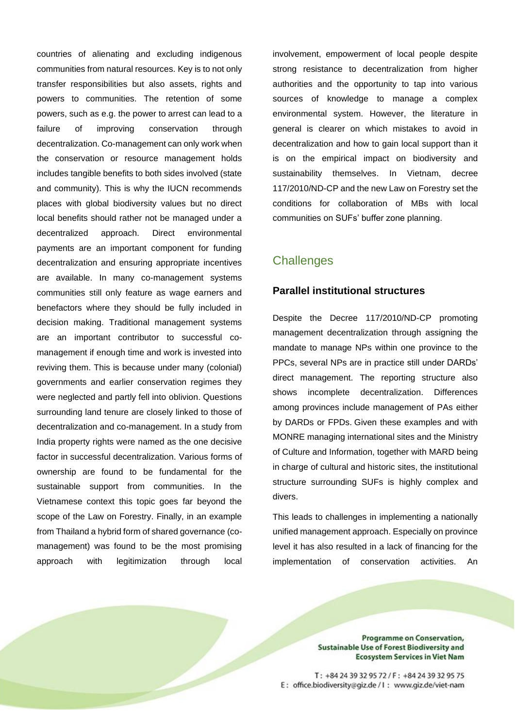countries of alienating and excluding indigenous communities from natural resources. Key is to not only transfer responsibilities but also assets, rights and powers to communities. The retention of some powers, such as e.g. the power to arrest can lead to a failure of improving conservation through decentralization. Co-management can only work when the conservation or resource management holds includes tangible benefits to both sides involved (state and community). This is why the IUCN recommends places with global biodiversity values but no direct local benefits should rather not be managed under a decentralized approach. Direct environmental payments are an important component for funding decentralization and ensuring appropriate incentives are available. In many co-management systems communities still only feature as wage earners and benefactors where they should be fully included in decision making. Traditional management systems are an important contributor to successful comanagement if enough time and work is invested into reviving them. This is because under many (colonial) governments and earlier conservation regimes they were neglected and partly fell into oblivion. Questions surrounding land tenure are closely linked to those of decentralization and co-management. In a study from India property rights were named as the one decisive factor in successful decentralization. Various forms of ownership are found to be fundamental for the sustainable support from communities. In the Vietnamese context this topic goes far beyond the scope of the Law on Forestry. Finally, in an example from Thailand a hybrid form of shared governance (comanagement) was found to be the most promising approach with legitimization through local

involvement, empowerment of local people despite strong resistance to decentralization from higher authorities and the opportunity to tap into various sources of knowledge to manage a complex environmental system. However, the literature in general is clearer on which mistakes to avoid in decentralization and how to gain local support than it is on the empirical impact on biodiversity and sustainability themselves. In Vietnam, decree 117/2010/ND-CP and the new Law on Forestry set the conditions for collaboration of MBs with local communities on SUFs' buffer zone planning.

## **Challenges**

#### **Parallel institutional structures**

Despite the Decree 117/2010/ND-CP promoting management decentralization through assigning the mandate to manage NPs within one province to the PPCs, several NPs are in practice still under DARDs' direct management. The reporting structure also shows incomplete decentralization. Differences among provinces include management of PAs either by DARDs or FPDs. Given these examples and with MONRE managing international sites and the Ministry of Culture and Information, together with MARD being in charge of cultural and historic sites, the institutional structure surrounding SUFs is highly complex and divers.

This leads to challenges in implementing a nationally unified management approach. Especially on province level it has also resulted in a lack of financing for the implementation of conservation activities. An

> Programme on Conservation, Sustainable Use of Forest Biodiversity and **Ecosystem Services in Viet Nam**

T: +84 24 39 32 95 72 / F: +84 24 39 32 95 75 E: office.biodiversity@giz.de / I: www.giz.de/viet-nam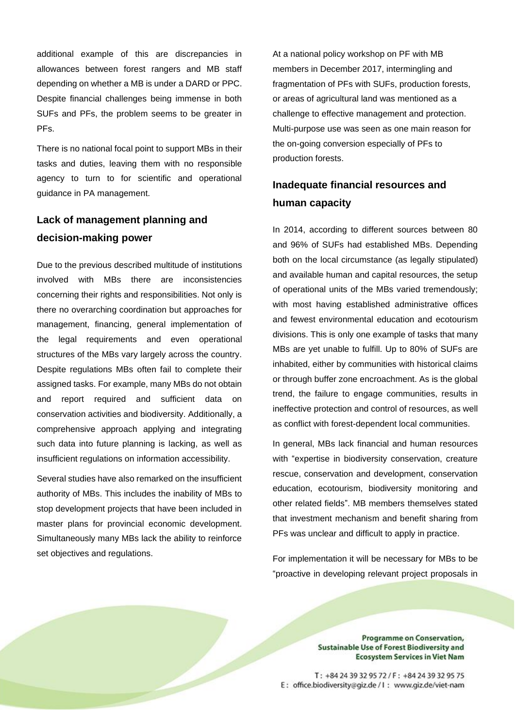additional example of this are discrepancies in allowances between forest rangers and MB staff depending on whether a MB is under a DARD or PPC. Despite financial challenges being immense in both SUFs and PFs, the problem seems to be greater in PFs.

There is no national focal point to support MBs in their tasks and duties, leaving them with no responsible agency to turn to for scientific and operational guidance in PA management.

# **Lack of management planning and decision-making power**

Due to the previous described multitude of institutions involved with MBs there are inconsistencies concerning their rights and responsibilities. Not only is there no overarching coordination but approaches for management, financing, general implementation of the legal requirements and even operational structures of the MBs vary largely across the country. Despite regulations MBs often fail to complete their assigned tasks. For example, many MBs do not obtain and report required and sufficient data on conservation activities and biodiversity. Additionally, a comprehensive approach applying and integrating such data into future planning is lacking, as well as insufficient regulations on information accessibility.

Several studies have also remarked on the insufficient authority of MBs. This includes the inability of MBs to stop development projects that have been included in master plans for provincial economic development. Simultaneously many MBs lack the ability to reinforce set objectives and regulations.

At a national policy workshop on PF with MB members in December 2017, intermingling and fragmentation of PFs with SUFs, production forests, or areas of agricultural land was mentioned as a challenge to effective management and protection. Multi-purpose use was seen as one main reason for the on-going conversion especially of PFs to production forests.

# **Inadequate financial resources and human capacity**

In 2014, according to different sources between 80 and 96% of SUFs had established MBs. Depending both on the local circumstance (as legally stipulated) and available human and capital resources, the setup of operational units of the MBs varied tremendously; with most having established administrative offices and fewest environmental education and ecotourism divisions. This is only one example of tasks that many MBs are yet unable to fulfill. Up to 80% of SUFs are inhabited, either by communities with historical claims or through buffer zone encroachment. As is the global trend, the failure to engage communities, results in ineffective protection and control of resources, as well as conflict with forest-dependent local communities.

In general, MBs lack financial and human resources with "expertise in biodiversity conservation, creature rescue, conservation and development, conservation education, ecotourism, biodiversity monitoring and other related fields". MB members themselves stated that investment mechanism and benefit sharing from PFs was unclear and difficult to apply in practice.

For implementation it will be necessary for MBs to be "proactive in developing relevant project proposals in

> Programme on Conservation, Sustainable Use of Forest Biodiversity and **Ecosystem Services in Viet Nam**

T: +84 24 39 32 95 72 / F: +84 24 39 32 95 75 E: office.biodiversity@giz.de / I : www.giz.de/viet-nam